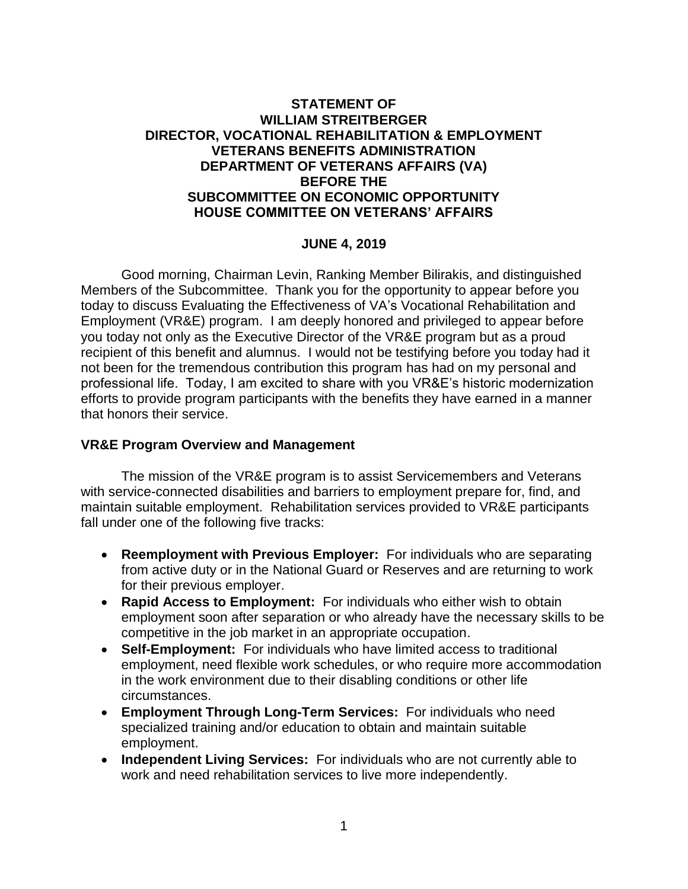# **STATEMENT OF WILLIAM STREITBERGER DIRECTOR, VOCATIONAL REHABILITATION & EMPLOYMENT VETERANS BENEFITS ADMINISTRATION DEPARTMENT OF VETERANS AFFAIRS (VA) BEFORE THE SUBCOMMITTEE ON ECONOMIC OPPORTUNITY HOUSE COMMITTEE ON VETERANS' AFFAIRS**

## **JUNE 4, 2019**

Good morning, Chairman Levin, Ranking Member Bilirakis, and distinguished Members of the Subcommittee. Thank you for the opportunity to appear before you today to discuss Evaluating the Effectiveness of VA's Vocational Rehabilitation and Employment (VR&E) program. I am deeply honored and privileged to appear before you today not only as the Executive Director of the VR&E program but as a proud recipient of this benefit and alumnus. I would not be testifying before you today had it not been for the tremendous contribution this program has had on my personal and professional life. Today, I am excited to share with you VR&E's historic modernization efforts to provide program participants with the benefits they have earned in a manner that honors their service.

### **VR&E Program Overview and Management**

The mission of the VR&E program is to assist Servicemembers and Veterans with service-connected disabilities and barriers to employment prepare for, find, and maintain suitable employment. Rehabilitation services provided to VR&E participants fall under one of the following five tracks:

- **Reemployment with Previous Employer:** For individuals who are separating from active duty or in the National Guard or Reserves and are returning to work for their previous employer.
- **Rapid Access to Employment:** For individuals who either wish to obtain employment soon after separation or who already have the necessary skills to be competitive in the job market in an appropriate occupation.
- **Self-Employment:** For individuals who have limited access to traditional employment, need flexible work schedules, or who require more accommodation in the work environment due to their disabling conditions or other life circumstances.
- **Employment Through Long-Term Services:** For individuals who need specialized training and/or education to obtain and maintain suitable employment.
- **Independent Living Services:** For individuals who are not currently able to work and need rehabilitation services to live more independently.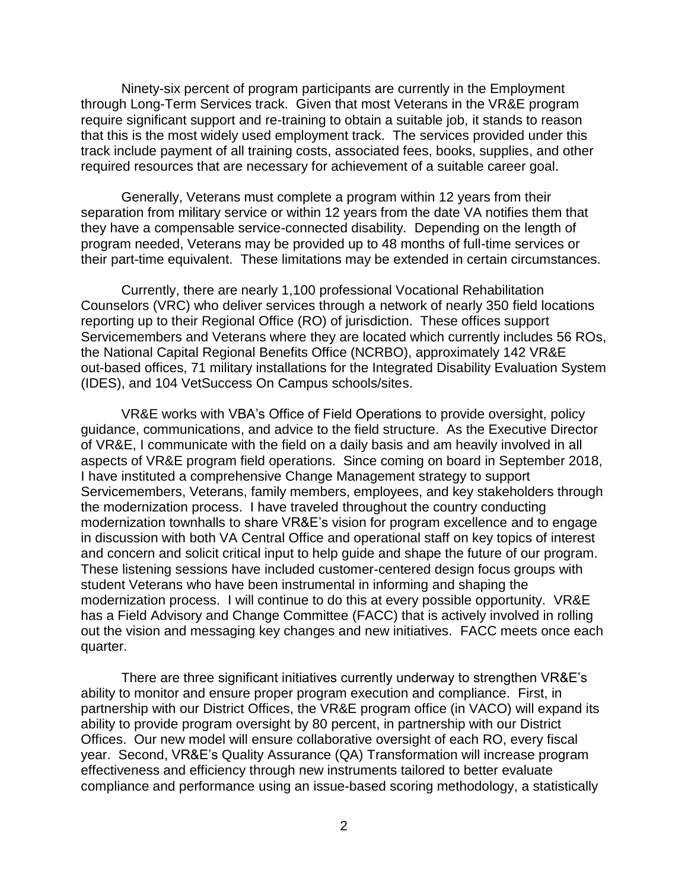Ninety-six percent of program participants are currently in the Employment through Long-Term Services track. Given that most Veterans in the VR&E program require significant support and re-training to obtain a suitable job, it stands to reason that this is the most widely used employment track. The services provided under this track include payment of all training costs, associated fees, books, supplies, and other required resources that are necessary for achievement of a suitable career goal.

Generally, Veterans must complete a program within 12 years from their separation from military service or within 12 years from the date VA notifies them that they have a compensable service-connected disability. Depending on the length of program needed, Veterans may be provided up to 48 months of full-time services or their part-time equivalent. These limitations may be extended in certain circumstances.

Currently, there are nearly 1,100 professional Vocational Rehabilitation Counselors (VRC) who deliver services through a network of nearly 350 field locations reporting up to their Regional Office (RO) of jurisdiction. These offices support Servicemembers and Veterans where they are located which currently includes 56 ROs, the National Capital Regional Benefits Office (NCRBO), approximately 142 VR&E out-based offices, 71 military installations for the Integrated Disability Evaluation System (IDES), and 104 VetSuccess On Campus schools/sites.

VR&E works with VBA's Office of Field Operations to provide oversight, policy guidance, communications, and advice to the field structure. As the Executive Director of VR&E, I communicate with the field on a daily basis and am heavily involved in all aspects of VR&E program field operations. Since coming on board in September 2018, I have instituted a comprehensive Change Management strategy to support Servicemembers, Veterans, family members, employees, and key stakeholders through the modernization process. I have traveled throughout the country conducting modernization townhalls to share VR&E's vision for program excellence and to engage in discussion with both VA Central Office and operational staff on key topics of interest and concern and solicit critical input to help guide and shape the future of our program. These listening sessions have included customer-centered design focus groups with student Veterans who have been instrumental in informing and shaping the modernization process. I will continue to do this at every possible opportunity. VR&E has a Field Advisory and Change Committee (FACC) that is actively involved in rolling out the vision and messaging key changes and new initiatives. FACC meets once each quarter.

There are three significant initiatives currently underway to strengthen VR&E's ability to monitor and ensure proper program execution and compliance. First, in partnership with our District Offices, the VR&E program office (in VACO) will expand its ability to provide program oversight by 80 percent, in partnership with our District Offices. Our new model will ensure collaborative oversight of each RO, every fiscal year. Second, VR&E's Quality Assurance (QA) Transformation will increase program effectiveness and efficiency through new instruments tailored to better evaluate compliance and performance using an issue-based scoring methodology, a statistically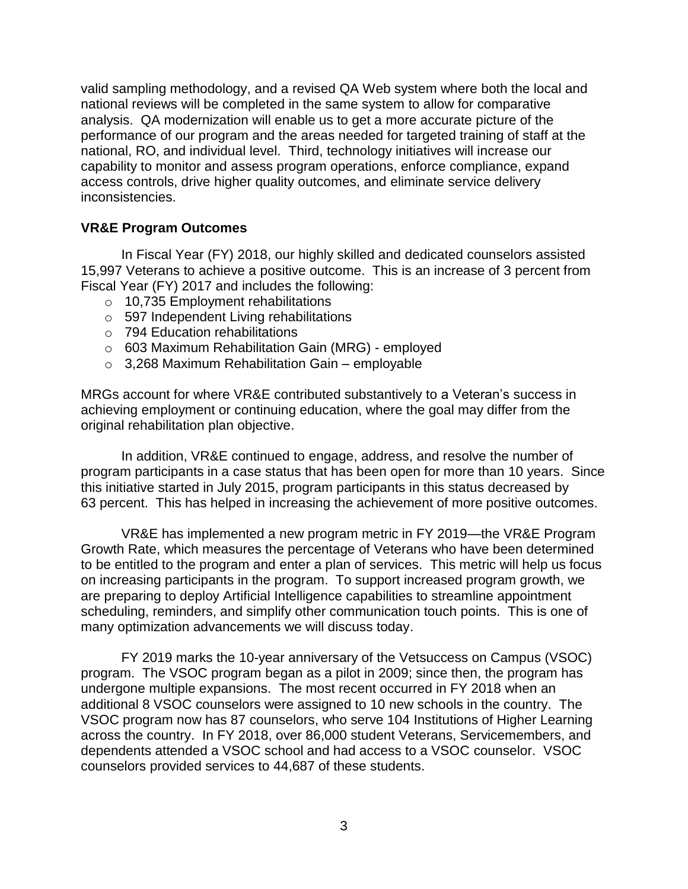valid sampling methodology, and a revised QA Web system where both the local and national reviews will be completed in the same system to allow for comparative analysis. QA modernization will enable us to get a more accurate picture of the performance of our program and the areas needed for targeted training of staff at the national, RO, and individual level. Third, technology initiatives will increase our capability to monitor and assess program operations, enforce compliance, expand access controls, drive higher quality outcomes, and eliminate service delivery inconsistencies.

# **VR&E Program Outcomes**

In Fiscal Year (FY) 2018, our highly skilled and dedicated counselors assisted 15,997 Veterans to achieve a positive outcome. This is an increase of 3 percent from Fiscal Year (FY) 2017 and includes the following:

- o 10,735 Employment rehabilitations
- o 597 Independent Living rehabilitations
- o 794 Education rehabilitations
- o 603 Maximum Rehabilitation Gain (MRG) employed
- $\circ$  3,268 Maximum Rehabilitation Gain employable

MRGs account for where VR&E contributed substantively to a Veteran's success in achieving employment or continuing education, where the goal may differ from the original rehabilitation plan objective.

In addition, VR&E continued to engage, address, and resolve the number of program participants in a case status that has been open for more than 10 years. Since this initiative started in July 2015, program participants in this status decreased by 63 percent. This has helped in increasing the achievement of more positive outcomes.

VR&E has implemented a new program metric in FY 2019—the VR&E Program Growth Rate, which measures the percentage of Veterans who have been determined to be entitled to the program and enter a plan of services. This metric will help us focus on increasing participants in the program. To support increased program growth, we are preparing to deploy Artificial Intelligence capabilities to streamline appointment scheduling, reminders, and simplify other communication touch points. This is one of many optimization advancements we will discuss today.

FY 2019 marks the 10-year anniversary of the Vetsuccess on Campus (VSOC) program. The VSOC program began as a pilot in 2009; since then, the program has undergone multiple expansions. The most recent occurred in FY 2018 when an additional 8 VSOC counselors were assigned to 10 new schools in the country. The VSOC program now has 87 counselors, who serve 104 Institutions of Higher Learning across the country. In FY 2018, over 86,000 student Veterans, Servicemembers, and dependents attended a VSOC school and had access to a VSOC counselor. VSOC counselors provided services to 44,687 of these students.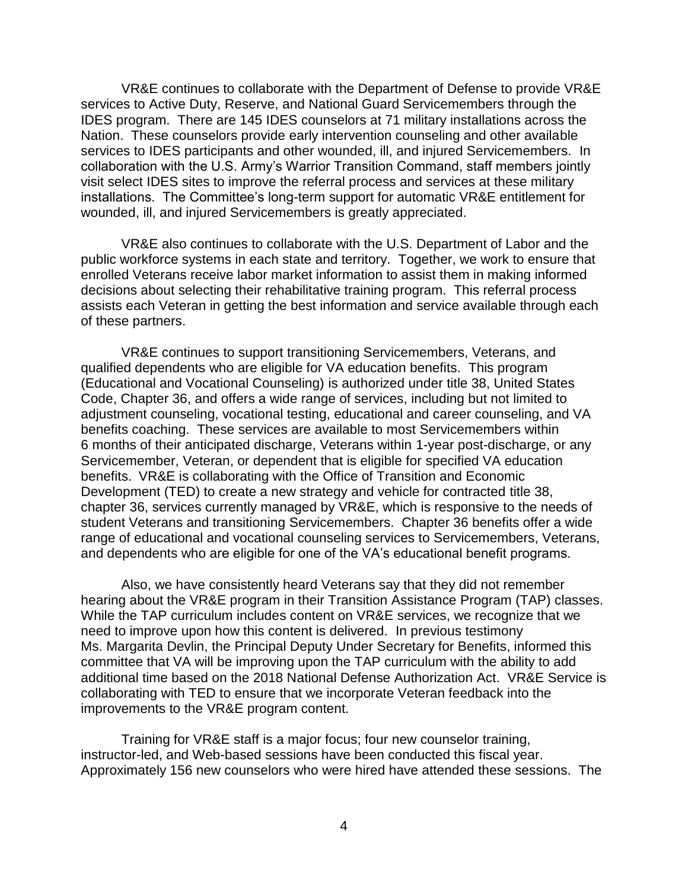VR&E continues to collaborate with the Department of Defense to provide VR&E services to Active Duty, Reserve, and National Guard Servicemembers through the IDES program. There are 145 IDES counselors at 71 military installations across the Nation. These counselors provide early intervention counseling and other available services to IDES participants and other wounded, ill, and injured Servicemembers. In collaboration with the U.S. Army's Warrior Transition Command, staff members jointly visit select IDES sites to improve the referral process and services at these military installations. The Committee's long-term support for automatic VR&E entitlement for wounded, ill, and injured Servicemembers is greatly appreciated.

VR&E also continues to collaborate with the U.S. Department of Labor and the public workforce systems in each state and territory. Together, we work to ensure that enrolled Veterans receive labor market information to assist them in making informed decisions about selecting their rehabilitative training program. This referral process assists each Veteran in getting the best information and service available through each of these partners.

VR&E continues to support transitioning Servicemembers, Veterans, and qualified dependents who are eligible for VA education benefits. This program (Educational and Vocational Counseling) is authorized under title 38, United States Code, Chapter 36, and offers a wide range of services, including but not limited to adjustment counseling, vocational testing, educational and career counseling, and VA benefits coaching. These services are available to most Servicemembers within 6 months of their anticipated discharge, Veterans within 1-year post-discharge, or any Servicemember, Veteran, or dependent that is eligible for specified VA education benefits. VR&E is collaborating with the Office of Transition and Economic Development (TED) to create a new strategy and vehicle for contracted title 38, chapter 36, services currently managed by VR&E, which is responsive to the needs of student Veterans and transitioning Servicemembers. Chapter 36 benefits offer a wide range of educational and vocational counseling services to Servicemembers, Veterans, and dependents who are eligible for one of the VA's educational benefit programs.

Also, we have consistently heard Veterans say that they did not remember hearing about the VR&E program in their Transition Assistance Program (TAP) classes. While the TAP curriculum includes content on VR&E services, we recognize that we need to improve upon how this content is delivered. In previous testimony Ms. Margarita Devlin, the Principal Deputy Under Secretary for Benefits, informed this committee that VA will be improving upon the TAP curriculum with the ability to add additional time based on the 2018 National Defense Authorization Act. VR&E Service is collaborating with TED to ensure that we incorporate Veteran feedback into the improvements to the VR&E program content.

Training for VR&E staff is a major focus; four new counselor training, instructor-led, and Web-based sessions have been conducted this fiscal year. Approximately 156 new counselors who were hired have attended these sessions. The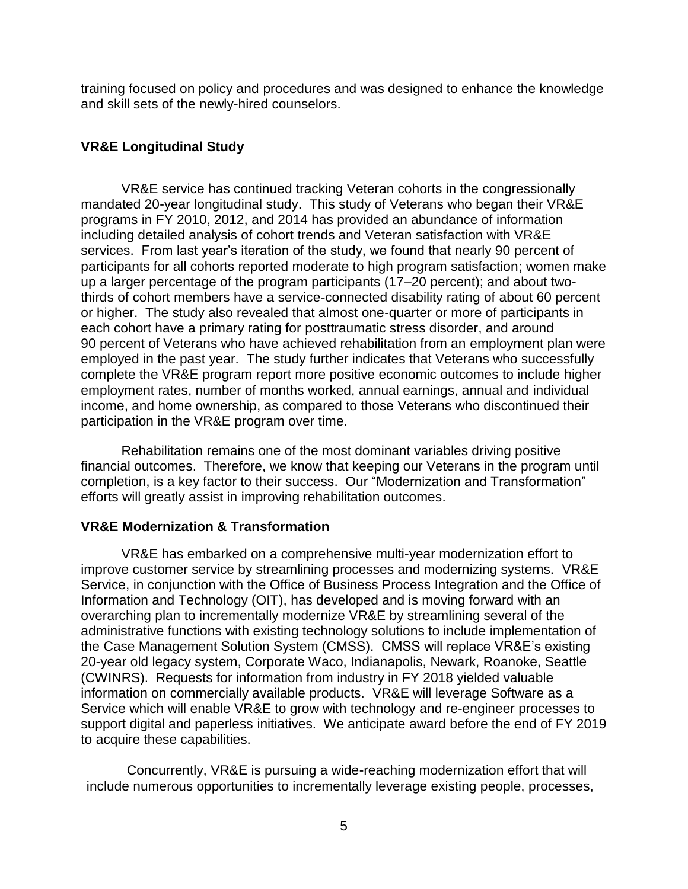training focused on policy and procedures and was designed to enhance the knowledge and skill sets of the newly-hired counselors.

# **VR&E Longitudinal Study**

VR&E service has continued tracking Veteran cohorts in the congressionally mandated 20-year longitudinal study. This study of Veterans who began their VR&E programs in FY 2010, 2012, and 2014 has provided an abundance of information including detailed analysis of cohort trends and Veteran satisfaction with VR&E services. From last year's iteration of the study, we found that nearly 90 percent of participants for all cohorts reported moderate to high program satisfaction; women make up a larger percentage of the program participants (17–20 percent); and about twothirds of cohort members have a service-connected disability rating of about 60 percent or higher. The study also revealed that almost one-quarter or more of participants in each cohort have a primary rating for posttraumatic stress disorder, and around 90 percent of Veterans who have achieved rehabilitation from an employment plan were employed in the past year. The study further indicates that Veterans who successfully complete the VR&E program report more positive economic outcomes to include higher employment rates, number of months worked, annual earnings, annual and individual income, and home ownership, as compared to those Veterans who discontinued their participation in the VR&E program over time.

Rehabilitation remains one of the most dominant variables driving positive financial outcomes. Therefore, we know that keeping our Veterans in the program until completion, is a key factor to their success. Our "Modernization and Transformation" efforts will greatly assist in improving rehabilitation outcomes.

## **VR&E Modernization & Transformation**

VR&E has embarked on a comprehensive multi-year modernization effort to improve customer service by streamlining processes and modernizing systems. VR&E Service, in conjunction with the Office of Business Process Integration and the Office of Information and Technology (OIT), has developed and is moving forward with an overarching plan to incrementally modernize VR&E by streamlining several of the administrative functions with existing technology solutions to include implementation of the Case Management Solution System (CMSS). CMSS will replace VR&E's existing 20-year old legacy system, Corporate Waco, Indianapolis, Newark, Roanoke, Seattle (CWINRS). Requests for information from industry in FY 2018 yielded valuable information on commercially available products. VR&E will leverage Software as a Service which will enable VR&E to grow with technology and re-engineer processes to support digital and paperless initiatives. We anticipate award before the end of FY 2019 to acquire these capabilities.

Concurrently, VR&E is pursuing a wide-reaching modernization effort that will include numerous opportunities to incrementally leverage existing people, processes,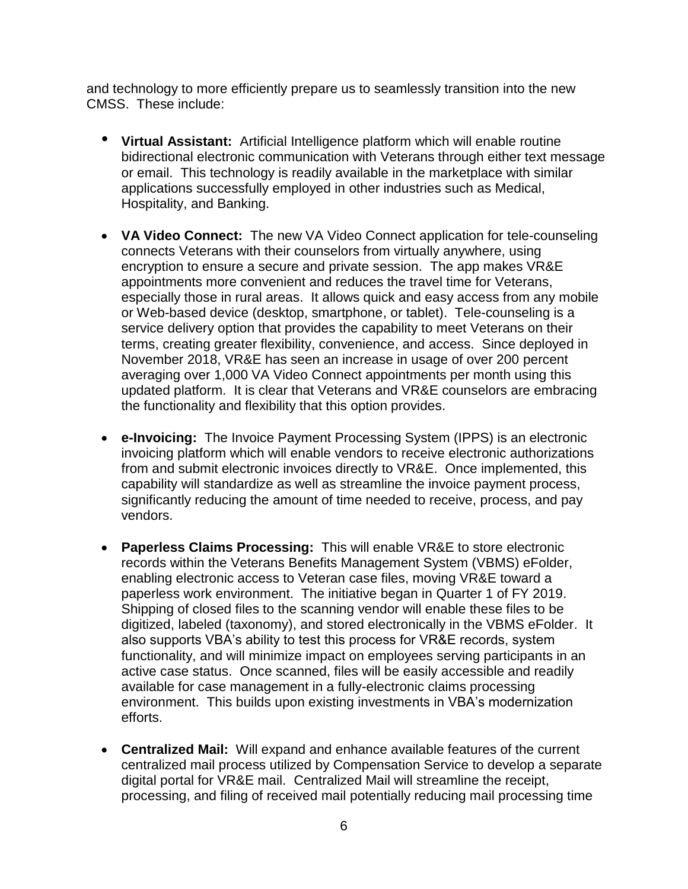and technology to more efficiently prepare us to seamlessly transition into the new CMSS. These include:

- **Virtual Assistant:** Artificial Intelligence platform which will enable routine bidirectional electronic communication with Veterans through either text message or email. This technology is readily available in the marketplace with similar applications successfully employed in other industries such as Medical, Hospitality, and Banking.
- **VA Video Connect:** The new VA Video Connect application for tele-counseling connects Veterans with their counselors from virtually anywhere, using encryption to ensure a secure and private session. The app makes VR&E appointments more convenient and reduces the travel time for Veterans, especially those in rural areas. It allows quick and easy access from any mobile or Web-based device (desktop, smartphone, or tablet). Tele-counseling is a service delivery option that provides the capability to meet Veterans on their terms, creating greater flexibility, convenience, and access. Since deployed in November 2018, VR&E has seen an increase in usage of over 200 percent averaging over 1,000 VA Video Connect appointments per month using this updated platform. It is clear that Veterans and VR&E counselors are embracing the functionality and flexibility that this option provides.
- **e-Invoicing:** The Invoice Payment Processing System (IPPS) is an electronic invoicing platform which will enable vendors to receive electronic authorizations from and submit electronic invoices directly to VR&E. Once implemented, this capability will standardize as well as streamline the invoice payment process, significantly reducing the amount of time needed to receive, process, and pay vendors.
- **Paperless Claims Processing:** This will enable VR&E to store electronic records within the Veterans Benefits Management System (VBMS) eFolder, enabling electronic access to Veteran case files, moving VR&E toward a paperless work environment. The initiative began in Quarter 1 of FY 2019. Shipping of closed files to the scanning vendor will enable these files to be digitized, labeled (taxonomy), and stored electronically in the VBMS eFolder. It also supports VBA's ability to test this process for VR&E records, system functionality, and will minimize impact on employees serving participants in an active case status. Once scanned, files will be easily accessible and readily available for case management in a fully-electronic claims processing environment. This builds upon existing investments in VBA's modernization efforts.
- **Centralized Mail:** Will expand and enhance available features of the current centralized mail process utilized by Compensation Service to develop a separate digital portal for VR&E mail. Centralized Mail will streamline the receipt, processing, and filing of received mail potentially reducing mail processing time